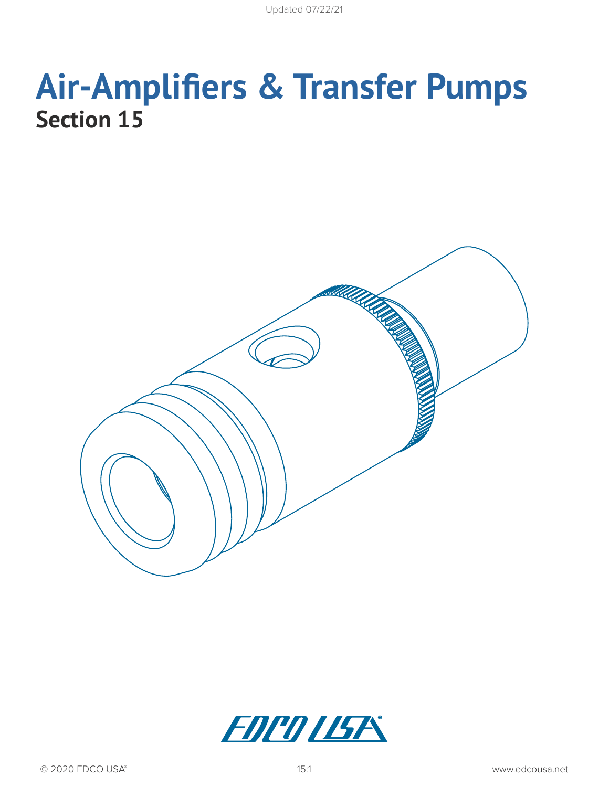# **Air-Amplifiers & Transfer Pumps Section 15**



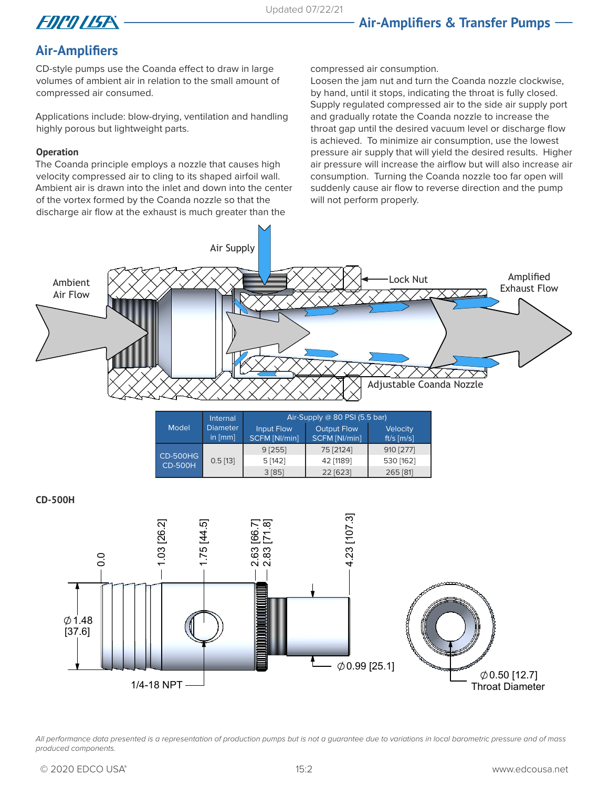

# **Air-Amplifiers**

CD-style pumps use the Coanda effect to draw in large volumes of ambient air in relation to the small amount of compressed air consumed.

Applications include: blow-drying, ventilation and handling highly porous but lightweight parts.

## **Operation**

The Coanda principle employs a nozzle that causes high velocity compressed air to cling to its shaped airfoil wall. Ambient air is drawn into the inlet and down into the center of the vortex formed by the Coanda nozzle so that the discharge air flow at the exhaust is much greater than the

compressed air consumption.

.<br>Loosen the jam nut and turn the Coanda nozzle clockwise, by hand, until it stops, indicating the throat is fully closed. Supply regulated compressed air to the side air supply port and gradually rotate the Coanda nozzle to increase the throat gap until the desired vacuum level or discharge flow is achieved. To minimize air consumption, use the lowest pressure air supply that will yield the desired results. Higher air pressure will increase the airflow but will also increase air consumption. Turning the Coanda nozzle too far open will suddenly cause air flow to reverse direction and the pump will not perform properly.



**CD-500H**



3 [85] 22 [623] 265 [81]

*All performance data presented is a representation of production pumps but is not a guarantee due to variations in local barometric pressure and of mass produced components.*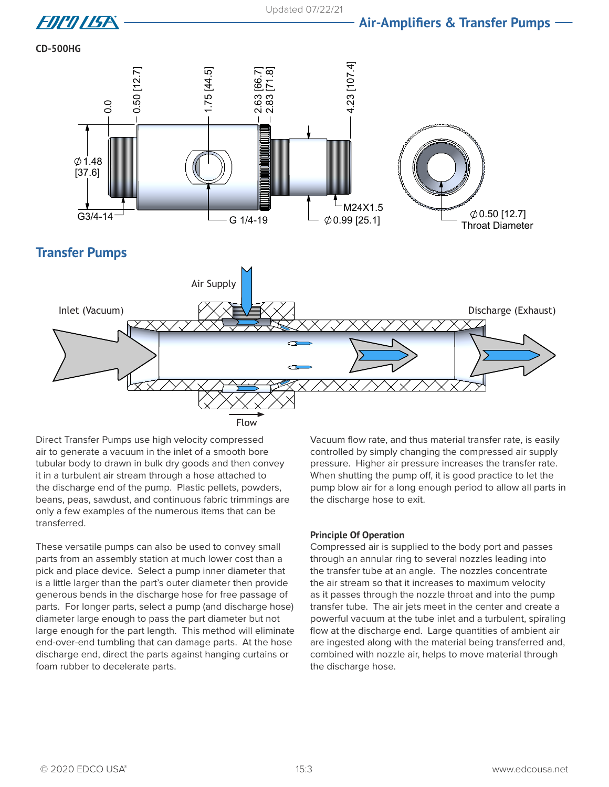

# **CD-500HG**





Direct Transfer Pumps use high velocity compressed air to generate a vacuum in the inlet of a smooth bore tubular body to drawn in bulk dry goods and then convey it in a turbulent air stream through a hose attached to the discharge end of the pump. Plastic pellets, powders, beans, peas, sawdust, and continuous fabric trimmings are only a few examples of the numerous items that can be transferred.

These versatile pumps can also be used to convey small parts from an assembly station at much lower cost than a pick and place device. Select a pump inner diameter that is a little larger than the part's outer diameter then provide generous bends in the discharge hose for free passage of parts. For longer parts, select a pump (and discharge hose) diameter large enough to pass the part diameter but not large enough for the part length. This method will eliminate end-over-end tumbling that can damage parts. At the hose discharge end, direct the parts against hanging curtains or foam rubber to decelerate parts.

Vacuum flow rate, and thus material transfer rate, is easily controlled by simply changing the compressed air supply pressure. Higher air pressure increases the transfer rate. When shutting the pump off, it is good practice to let the pump blow air for a long enough period to allow all parts in the discharge hose to exit.

#### **Principle Of Operation**

Compressed air is supplied to the body port and passes through an annular ring to several nozzles leading into the transfer tube at an angle. The nozzles concentrate the air stream so that it increases to maximum velocity as it passes through the nozzle throat and into the pump transfer tube. The air jets meet in the center and create a powerful vacuum at the tube inlet and a turbulent, spiraling flow at the discharge end. Large quantities of ambient air are ingested along with the material being transferred and, combined with nozzle air, helps to move material through the discharge hose.